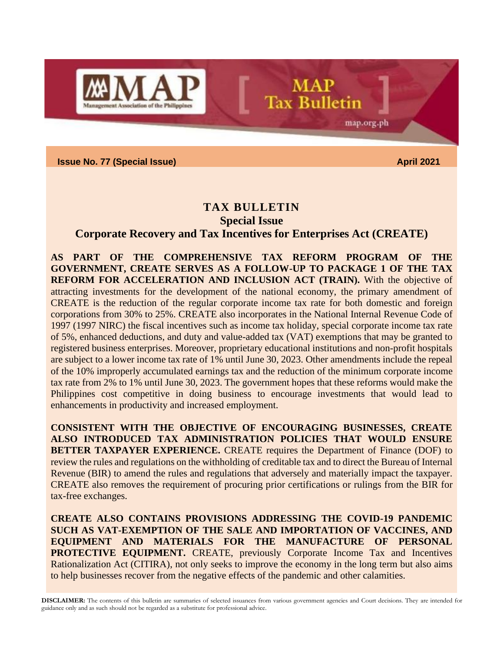

**Issue No. 77 (Special Issue)** April **2021** 

# **TAX BULLETIN Special Issue**

**MAP** 

**Tax Bulletin** 

map.org.ph

## **Corporate Recovery and Tax Incentives for Enterprises Act (CREATE)**

**AS PART OF THE COMPREHENSIVE TAX REFORM PROGRAM OF THE GOVERNMENT, CREATE SERVES AS A FOLLOW-UP TO PACKAGE 1 OF THE TAX REFORM FOR ACCELERATION AND INCLUSION ACT (TRAIN).** With the objective of attracting investments for the development of the national economy, the primary amendment of CREATE is the reduction of the regular corporate income tax rate for both domestic and foreign corporations from 30% to 25%. CREATE also incorporates in the National Internal Revenue Code of 1997 (1997 NIRC) the fiscal incentives such as income tax holiday, special corporate income tax rate of 5%, enhanced deductions, and duty and value-added tax (VAT) exemptions that may be granted to registered business enterprises. Moreover, proprietary educational institutions and non-profit hospitals are subject to a lower income tax rate of 1% until June 30, 2023. Other amendments include the repeal of the 10% improperly accumulated earnings tax and the reduction of the minimum corporate income tax rate from 2% to 1% until June 30, 2023. The government hopes that these reforms would make the Philippines cost competitive in doing business to encourage investments that would lead to enhancements in productivity and increased employment.

**CONSISTENT WITH THE OBJECTIVE OF ENCOURAGING BUSINESSES, CREATE ALSO INTRODUCED TAX ADMINISTRATION POLICIES THAT WOULD ENSURE BETTER TAXPAYER EXPERIENCE.** CREATE requires the Department of Finance (DOF) to review the rules and regulations on the withholding of creditable tax and to direct the Bureau of Internal Revenue (BIR) to amend the rules and regulations that adversely and materially impact the taxpayer. CREATE also removes the requirement of procuring prior certifications or rulings from the BIR for tax-free exchanges.

**CREATE ALSO CONTAINS PROVISIONS ADDRESSING THE COVID-19 PANDEMIC SUCH AS VAT-EXEMPTION OF THE SALE AND IMPORTATION OF VACCINES, AND EQUIPMENT AND MATERIALS FOR THE MANUFACTURE OF PERSONAL PROTECTIVE EQUIPMENT.** CREATE, previously Corporate Income Tax and Incentives Rationalization Act (CITIRA), not only seeks to improve the economy in the long term but also aims to help businesses recover from the negative effects of the pandemic and other calamities.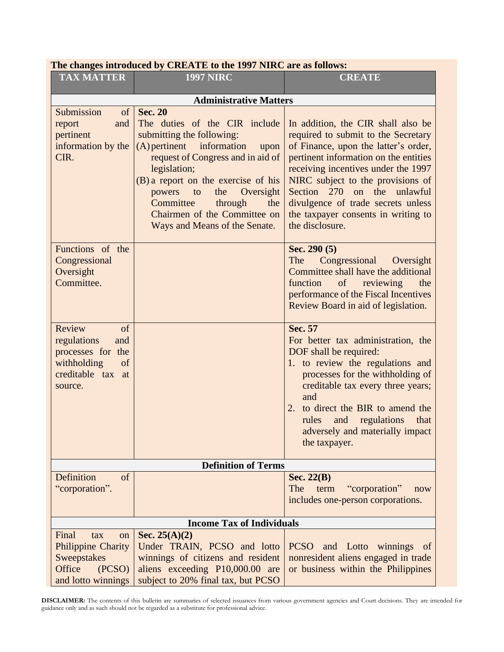| The changes introduced by CREATE to the 1997 NIRC are as follows:                                            |                                                                                                                                                                                                                                                                                                                                                   |                                                                                                                                                                                                                                                                                                                                                                             |  |  |  |
|--------------------------------------------------------------------------------------------------------------|---------------------------------------------------------------------------------------------------------------------------------------------------------------------------------------------------------------------------------------------------------------------------------------------------------------------------------------------------|-----------------------------------------------------------------------------------------------------------------------------------------------------------------------------------------------------------------------------------------------------------------------------------------------------------------------------------------------------------------------------|--|--|--|
| <b>TAX MATTER</b>                                                                                            | <b>1997 NIRC</b>                                                                                                                                                                                                                                                                                                                                  | <b>CREATE</b>                                                                                                                                                                                                                                                                                                                                                               |  |  |  |
|                                                                                                              | <b>Administrative Matters</b>                                                                                                                                                                                                                                                                                                                     |                                                                                                                                                                                                                                                                                                                                                                             |  |  |  |
| Submission<br>of<br>and<br>report<br>pertinent<br>information by the<br>CIR.                                 | <b>Sec. 20</b><br>The duties of the CIR include<br>submitting the following:<br>(A) pertinent information<br>upon<br>request of Congress and in aid of<br>legislation;<br>(B) a report on the exercise of his<br>Oversight<br>powers<br>the<br>to<br>Committee<br>through<br>the<br>Chairmen of the Committee on<br>Ways and Means of the Senate. | In addition, the CIR shall also be<br>required to submit to the Secretary<br>of Finance, upon the latter's order,<br>pertinent information on the entities<br>receiving incentives under the 1997<br>NIRC subject to the provisions of<br>270 on the<br>Section<br>unlawful<br>divulgence of trade secrets unless<br>the taxpayer consents in writing to<br>the disclosure. |  |  |  |
| Functions of the<br>Congressional<br>Oversight<br>Committee.                                                 |                                                                                                                                                                                                                                                                                                                                                   | Sec. $290(5)$<br>The<br>Congressional<br>Oversight<br>Committee shall have the additional<br>function<br>of reviewing<br>the<br>performance of the Fiscal Incentives<br>Review Board in aid of legislation.                                                                                                                                                                 |  |  |  |
| Review<br>of<br>regulations<br>and<br>processes for the<br>withholding<br>of<br>creditable tax at<br>source. |                                                                                                                                                                                                                                                                                                                                                   | Sec. 57<br>For better tax administration, the<br>DOF shall be required:<br>1. to review the regulations and<br>processes for the withholding of<br>creditable tax every three years;<br>and<br>to direct the BIR to amend the<br>rules<br>and<br>regulations<br>that<br>adversely and materially impact<br>the taxpayer.                                                    |  |  |  |
|                                                                                                              | <b>Definition of Terms</b>                                                                                                                                                                                                                                                                                                                        |                                                                                                                                                                                                                                                                                                                                                                             |  |  |  |
| Definition<br>of<br>"corporation".                                                                           |                                                                                                                                                                                                                                                                                                                                                   | Sec. $22(B)$<br>The<br>term<br>"corporation"<br>now<br>includes one-person corporations.                                                                                                                                                                                                                                                                                    |  |  |  |
| <b>Income Tax of Individuals</b>                                                                             |                                                                                                                                                                                                                                                                                                                                                   |                                                                                                                                                                                                                                                                                                                                                                             |  |  |  |
| Final<br>tax<br>on<br><b>Philippine Charity</b><br>Sweepstakes<br>Office<br>(PCSO)<br>and lotto winnings     | Sec. $25(A)(2)$<br>Under TRAIN, PCSO and lotto<br>winnings of citizens and resident<br>aliens exceeding P10,000.00 are<br>subject to 20% final tax, but PCSO                                                                                                                                                                                      | PCSO and Lotto winnings<br>of<br>nonresident aliens engaged in trade<br>or business within the Philippines                                                                                                                                                                                                                                                                  |  |  |  |

**The changes introduced by CREATE to the 1997 NIRC are as follows:**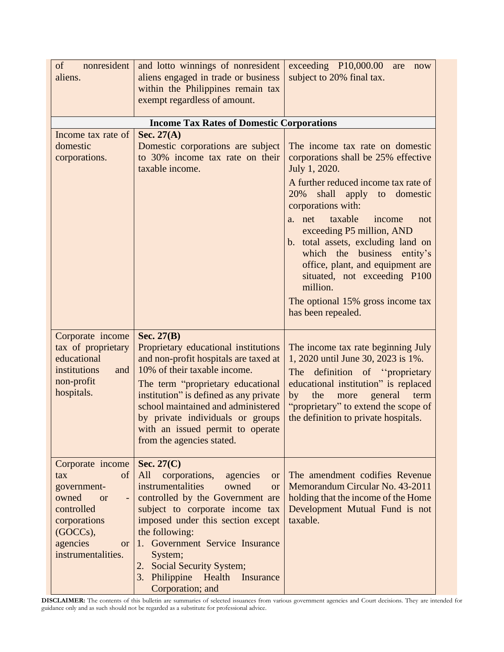| nonresident<br>of<br>aliens.                                                                                                                                | and lotto winnings of nonresident<br>aliens engaged in trade or business<br>within the Philippines remain tax<br>exempt regardless of amount.                                                                                                                                                                                                                             | exceeding $P10,000.00$<br>are<br>now<br>subject to 20% final tax.                                                                                                                                                                                                             |
|-------------------------------------------------------------------------------------------------------------------------------------------------------------|---------------------------------------------------------------------------------------------------------------------------------------------------------------------------------------------------------------------------------------------------------------------------------------------------------------------------------------------------------------------------|-------------------------------------------------------------------------------------------------------------------------------------------------------------------------------------------------------------------------------------------------------------------------------|
|                                                                                                                                                             |                                                                                                                                                                                                                                                                                                                                                                           |                                                                                                                                                                                                                                                                               |
| Income tax rate of                                                                                                                                          | <b>Income Tax Rates of Domestic Corporations</b><br>Sec. $27(A)$                                                                                                                                                                                                                                                                                                          |                                                                                                                                                                                                                                                                               |
| domestic<br>corporations.                                                                                                                                   | Domestic corporations are subject<br>to 30% income tax rate on their<br>taxable income.                                                                                                                                                                                                                                                                                   | The income tax rate on domestic<br>corporations shall be 25% effective<br>July 1, 2020.                                                                                                                                                                                       |
|                                                                                                                                                             |                                                                                                                                                                                                                                                                                                                                                                           | A further reduced income tax rate of<br>20%<br>shall<br>apply to<br>domestic<br>corporations with:                                                                                                                                                                            |
|                                                                                                                                                             |                                                                                                                                                                                                                                                                                                                                                                           | taxable<br>a. net<br>income<br>not<br>exceeding P5 million, AND<br>b. total assets, excluding land on<br>which the business<br>entity's<br>office, plant, and equipment are<br>situated, not exceeding P100<br>million.                                                       |
|                                                                                                                                                             |                                                                                                                                                                                                                                                                                                                                                                           | The optional 15% gross income tax<br>has been repealed.                                                                                                                                                                                                                       |
| Corporate income<br>tax of proprietary<br>educational<br>institutions<br>and<br>non-profit<br>hospitals.                                                    | Sec. $27(B)$<br>Proprietary educational institutions<br>and non-profit hospitals are taxed at<br>10% of their taxable income.<br>The term "proprietary educational<br>institution" is defined as any private<br>school maintained and administered<br>by private individuals or groups<br>with an issued permit to operate<br>from the agencies stated.                   | The income tax rate beginning July<br>1, 2020 until June 30, 2023 is 1%.<br>definition of "proprietary<br>The<br>educational institution" is replaced<br>the<br>by<br>more<br>general<br>term<br>"proprietary" to extend the scope of<br>the definition to private hospitals. |
| Corporate income<br>of<br>tax<br>government-<br>owned<br><b>or</b><br>controlled<br>corporations<br>(GOCCs),<br>agencies<br><b>or</b><br>instrumentalities. | Sec. 27(C)<br>All<br>corporations,<br>agencies<br><b>or</b><br>instrumentalities<br>owned<br><b>or</b><br>controlled by the Government are<br>subject to corporate income tax<br>imposed under this section except<br>the following:<br>1. Government Service Insurance<br>System;<br>2. Social Security System;<br>3. Philippine Health<br>Insurance<br>Corporation; and | The amendment codifies Revenue<br>Memorandum Circular No. 43-2011<br>holding that the income of the Home<br>Development Mutual Fund is not<br>taxable.                                                                                                                        |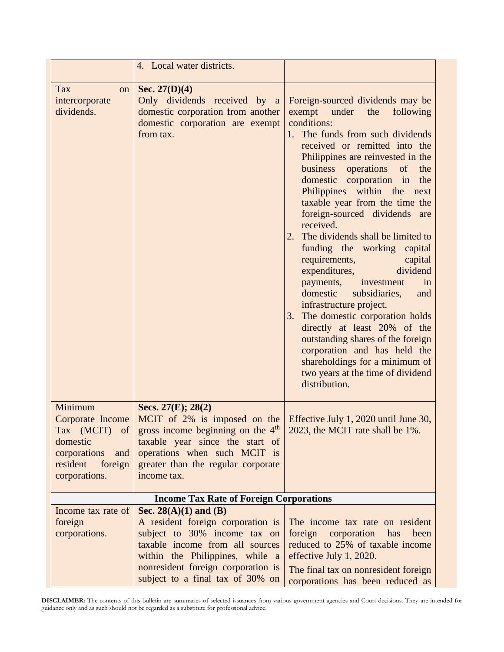| 4. Local water districts.                                                                                               |                                                                                                                                                                                                                      |                                                                                                                                                                                                                                                                                                                                                                                                                                                                                                                                                                                                                                                                                                                                                                                                                                                   |
|-------------------------------------------------------------------------------------------------------------------------|----------------------------------------------------------------------------------------------------------------------------------------------------------------------------------------------------------------------|---------------------------------------------------------------------------------------------------------------------------------------------------------------------------------------------------------------------------------------------------------------------------------------------------------------------------------------------------------------------------------------------------------------------------------------------------------------------------------------------------------------------------------------------------------------------------------------------------------------------------------------------------------------------------------------------------------------------------------------------------------------------------------------------------------------------------------------------------|
| Tax<br>on<br>intercorporate<br>dividends.                                                                               | Sec. $27(D)(4)$<br>Only dividends received by a<br>domestic corporation from another<br>domestic corporation are exempt<br>from tax.                                                                                 | Foreign-sourced dividends may be<br>exempt under the<br>following<br>conditions:<br>1. The funds from such dividends<br>received or remitted into the<br>Philippines are reinvested in the<br>business operations<br>of<br>the<br>domestic corporation in<br>the<br>Philippines within the<br>next<br>taxable year from the time the<br>foreign-sourced dividends are<br>received.<br>The dividends shall be limited to<br>funding the working capital<br>requirements,<br>capital<br>dividend<br>expenditures,<br>payments,<br>investment<br>in<br>domestic<br>subsidiaries,<br>and<br>infrastructure project.<br>3. The domestic corporation holds<br>directly at least 20% of the<br>outstanding shares of the foreign<br>corporation and has held the<br>shareholdings for a minimum of<br>two years at the time of dividend<br>distribution. |
| Minimum<br>Corporate Income<br>Tax (MCIT) of<br>domestic<br>corporations<br>and<br>resident<br>foreign<br>corporations. | Secs. 27(E); 28(2)<br>MCIT of $2\%$ is imposed on the<br>gross income beginning on the $4th$<br>taxable year since the start of<br>operations when such MCIT is<br>greater than the regular corporate<br>income tax. | Effective July 1, 2020 until June 30,<br>2023, the MCIT rate shall be 1%.                                                                                                                                                                                                                                                                                                                                                                                                                                                                                                                                                                                                                                                                                                                                                                         |
|                                                                                                                         | <b>Income Tax Rate of Foreign Corporations</b>                                                                                                                                                                       |                                                                                                                                                                                                                                                                                                                                                                                                                                                                                                                                                                                                                                                                                                                                                                                                                                                   |
| Income tax rate of<br>foreign<br>corporations.                                                                          | Sec. 28(A)(1) and (B)<br>A resident foreign corporation is<br>subject to 30% income tax on<br>taxable income from all sources<br>within the Philippines, while a<br>nonresident foreign corporation is               | The income tax rate on resident<br>foreign<br>corporation<br>has<br>been<br>reduced to 25% of taxable income<br>effective July 1, 2020.<br>The final tax on nonresident foreign                                                                                                                                                                                                                                                                                                                                                                                                                                                                                                                                                                                                                                                                   |
|                                                                                                                         | subject to a final tax of 30% on                                                                                                                                                                                     | corporations has been reduced as                                                                                                                                                                                                                                                                                                                                                                                                                                                                                                                                                                                                                                                                                                                                                                                                                  |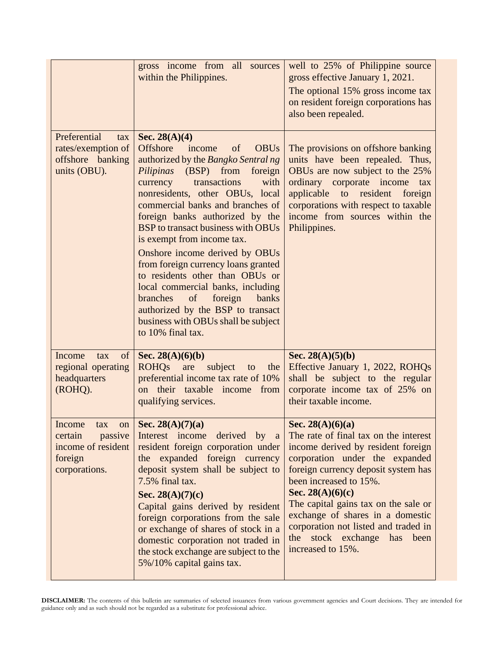|                                                                                       | gross income from all sources<br>within the Philippines.                                                                                                                                                                                                                                                                                                                                                                                                                                                                                                                                                                                                           | well to 25% of Philippine source<br>gross effective January 1, 2021.<br>The optional 15% gross income tax<br>on resident foreign corporations has<br>also been repealed.                                                                                                                                                                                                                          |  |
|---------------------------------------------------------------------------------------|--------------------------------------------------------------------------------------------------------------------------------------------------------------------------------------------------------------------------------------------------------------------------------------------------------------------------------------------------------------------------------------------------------------------------------------------------------------------------------------------------------------------------------------------------------------------------------------------------------------------------------------------------------------------|---------------------------------------------------------------------------------------------------------------------------------------------------------------------------------------------------------------------------------------------------------------------------------------------------------------------------------------------------------------------------------------------------|--|
| Preferential<br>tax<br>rates/exemption of<br>offshore banking<br>units (OBU).         | Sec. $28(A)(4)$<br><b>Offshore</b><br>of<br><b>OBUs</b><br>income<br>authorized by the Bangko Sentral ng<br><i>Pilipinas</i> (BSP) from<br>foreign<br>transactions<br>currency<br>with<br>nonresidents, other OBUs, local<br>commercial banks and branches of<br>foreign banks authorized by the<br>BSP to transact business with OBUs<br>is exempt from income tax.<br>Onshore income derived by OBUs<br>from foreign currency loans granted<br>to residents other than OBUs or<br>local commercial banks, including<br>branches<br>$\sigma$<br>foreign<br>banks<br>authorized by the BSP to transact<br>business with OBUs shall be subject<br>to 10% final tax. | The provisions on offshore banking<br>units have been repealed. Thus,<br>OBUs are now subject to the 25%<br>ordinary corporate income<br>tax<br>applicable to resident<br>foreign<br>corporations with respect to taxable<br>income from sources within the<br>Philippines.                                                                                                                       |  |
| Income<br>of<br>tax<br>regional operating<br>headquarters<br>(ROHQ).                  | Sec. 28(A)(6)(b)<br><b>ROHQs</b><br>subject<br>are<br>the<br>to<br>preferential income tax rate of 10%<br>their taxable income<br><sub>on</sub><br>from<br>qualifying services.                                                                                                                                                                                                                                                                                                                                                                                                                                                                                    | Sec. $28(A)(5)(b)$<br>Effective January 1, 2022, ROHQs<br>shall be subject to the regular<br>corporate income tax of 25% on<br>their taxable income.                                                                                                                                                                                                                                              |  |
| Income<br>tax<br>passive<br>certain<br>income of resident<br>foreign<br>corporations. | on   Sec. 28(A)(7)(a)<br>Interest income derived by a<br>resident foreign corporation under<br>the expanded foreign currency<br>deposit system shall be subject to<br>7.5% final tax.<br>Sec. 28(A)(7)(c)<br>Capital gains derived by resident<br>foreign corporations from the sale<br>or exchange of shares of stock in a<br>domestic corporation not traded in<br>the stock exchange are subject to the<br>5%/10% capital gains tax.                                                                                                                                                                                                                            | Sec. 28(A)(6)(a)<br>The rate of final tax on the interest<br>income derived by resident foreign<br>corporation under the expanded<br>foreign currency deposit system has<br>been increased to 15%.<br>Sec. 28(A)(6)(c)<br>The capital gains tax on the sale or<br>exchange of shares in a domestic<br>corporation not listed and traded in<br>stock exchange has been<br>the<br>increased to 15%. |  |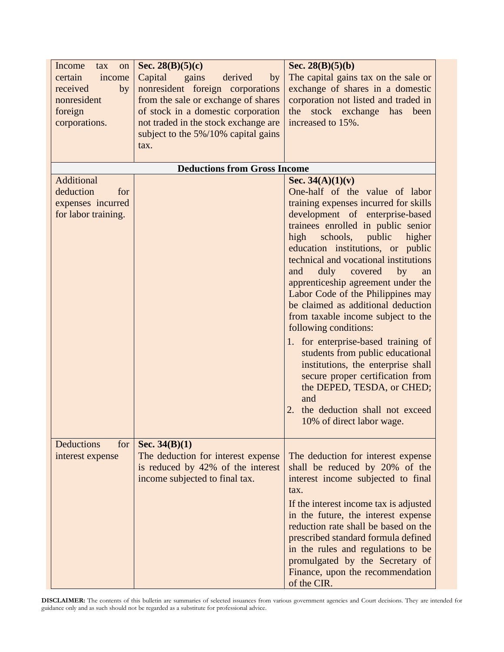| Income<br>tax<br>on<br>certain<br>income<br>received<br>by<br>nonresident<br>foreign<br>corporations. | Sec. 28 $(B)(5)(c)$<br>Capital<br>gains<br>derived<br>by<br>nonresident foreign corporations<br>from the sale or exchange of shares<br>of stock in a domestic corporation<br>not traded in the stock exchange are<br>subject to the 5%/10% capital gains<br>tax. | Sec. 28 $(B)(5)(b)$<br>The capital gains tax on the sale or<br>exchange of shares in a domestic<br>corporation not listed and traded in<br>the stock exchange has<br>been<br>increased to 15%.                                                                                                                                                                                                                                                                                                                                                                                                                                       |
|-------------------------------------------------------------------------------------------------------|------------------------------------------------------------------------------------------------------------------------------------------------------------------------------------------------------------------------------------------------------------------|--------------------------------------------------------------------------------------------------------------------------------------------------------------------------------------------------------------------------------------------------------------------------------------------------------------------------------------------------------------------------------------------------------------------------------------------------------------------------------------------------------------------------------------------------------------------------------------------------------------------------------------|
|                                                                                                       | <b>Deductions from Gross Income</b>                                                                                                                                                                                                                              |                                                                                                                                                                                                                                                                                                                                                                                                                                                                                                                                                                                                                                      |
| Additional<br>deduction<br>for<br>expenses incurred<br>for labor training.                            |                                                                                                                                                                                                                                                                  | Sec. $34(A)(1)(v)$<br>One-half of the value of labor<br>training expenses incurred for skills<br>development of enterprise-based<br>trainees enrolled in public senior<br>public<br>high<br>schools,<br>higher<br>education institutions, or public<br>technical and vocational institutions<br>duly covered<br>$-$ by<br>and<br>an<br>apprenticeship agreement under the<br>Labor Code of the Philippines may<br>be claimed as additional deduction<br>from taxable income subject to the<br>following conditions:<br>1. for enterprise-based training of<br>students from public educational<br>institutions, the enterprise shall |
|                                                                                                       |                                                                                                                                                                                                                                                                  | secure proper certification from<br>the DEPED, TESDA, or CHED;<br>and<br>the deduction shall not exceed<br>2.<br>10% of direct labor wage.                                                                                                                                                                                                                                                                                                                                                                                                                                                                                           |
| <b>Deductions</b><br>for<br>interest expense                                                          | Sec. $34(B)(1)$<br>The deduction for interest expense<br>is reduced by 42% of the interest<br>income subjected to final tax.                                                                                                                                     | The deduction for interest expense<br>shall be reduced by 20% of the<br>interest income subjected to final<br>tax.<br>If the interest income tax is adjusted<br>in the future, the interest expense<br>reduction rate shall be based on the<br>prescribed standard formula defined<br>in the rules and regulations to be<br>promulgated by the Secretary of<br>Finance, upon the recommendation<br>of the CIR.                                                                                                                                                                                                                       |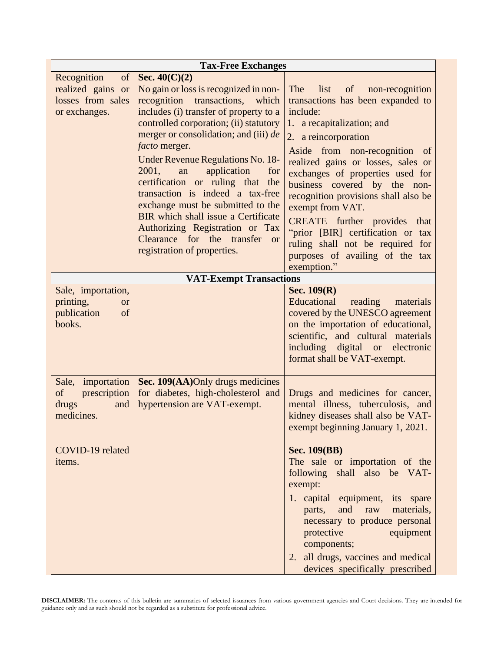| <b>Tax-Free Exchanges</b>                                                    |                                                                                                                                                                                                                                                                                                                                                                                                                                                                                                                                                                                                   |                                                                                                                                                                                                                                                                                                                                                                                                                                                                                                                      |  |
|------------------------------------------------------------------------------|---------------------------------------------------------------------------------------------------------------------------------------------------------------------------------------------------------------------------------------------------------------------------------------------------------------------------------------------------------------------------------------------------------------------------------------------------------------------------------------------------------------------------------------------------------------------------------------------------|----------------------------------------------------------------------------------------------------------------------------------------------------------------------------------------------------------------------------------------------------------------------------------------------------------------------------------------------------------------------------------------------------------------------------------------------------------------------------------------------------------------------|--|
| Recognition<br>of<br>realized gains or<br>losses from sales<br>or exchanges. | Sec. $40(C)(2)$<br>No gain or loss is recognized in non-<br>recognition<br>transactions,<br>which<br>includes (i) transfer of property to a<br>controlled corporation; (ii) statutory<br>merger or consolidation; and (iii) de<br><i>facto</i> merger.<br><b>Under Revenue Regulations No. 18-</b><br>2001,<br>application<br>an<br>for<br>certification or ruling that<br>the<br>transaction is indeed a tax-free<br>exchange must be submitted to the<br>BIR which shall issue a Certificate<br>Authorizing Registration or Tax<br>Clearance for the transfer or<br>registration of properties. | The<br>list<br>of<br>non-recognition<br>transactions has been expanded to<br>include:<br>1. a recapitalization; and<br>2. a reincorporation<br>Aside from non-recognition of<br>realized gains or losses, sales or<br>exchanges of properties used for<br>business covered by the non-<br>recognition provisions shall also be<br>exempt from VAT.<br><b>CREATE</b> further provides that<br>"prior [BIR] certification or tax<br>ruling shall not be required for<br>purposes of availing of the tax<br>exemption." |  |
|                                                                              | <b>VAT-Exempt Transactions</b>                                                                                                                                                                                                                                                                                                                                                                                                                                                                                                                                                                    |                                                                                                                                                                                                                                                                                                                                                                                                                                                                                                                      |  |
| Sale, importation,<br>printing,<br><b>or</b><br>publication<br>of<br>books.  |                                                                                                                                                                                                                                                                                                                                                                                                                                                                                                                                                                                                   | Sec. $109(R)$<br>Educational<br>reading<br>materials<br>covered by the UNESCO agreement<br>on the importation of educational,<br>scientific, and cultural materials<br>including digital or electronic<br>format shall be VAT-exempt.                                                                                                                                                                                                                                                                                |  |
| Sale, importation<br>prescription<br>of<br>drugs<br>and<br>medicines.        | Sec. 109(AA)Only drugs medicines<br>for diabetes, high-cholesterol and<br>hypertension are VAT-exempt.                                                                                                                                                                                                                                                                                                                                                                                                                                                                                            | Drugs and medicines for cancer,<br>mental illness, tuberculosis, and<br>kidney diseases shall also be VAT-<br>exempt beginning January 1, 2021.                                                                                                                                                                                                                                                                                                                                                                      |  |
| COVID-19 related<br>items.                                                   |                                                                                                                                                                                                                                                                                                                                                                                                                                                                                                                                                                                                   | <b>Sec. 109(BB)</b><br>The sale or importation of the<br>following shall also be VAT-<br>exempt:<br>1. capital equipment, its spare<br>and<br>raw<br>materials,<br>parts,<br>necessary to produce personal<br>protective<br>equipment<br>components;<br>2. all drugs, vaccines and medical<br>devices specifically prescribed                                                                                                                                                                                        |  |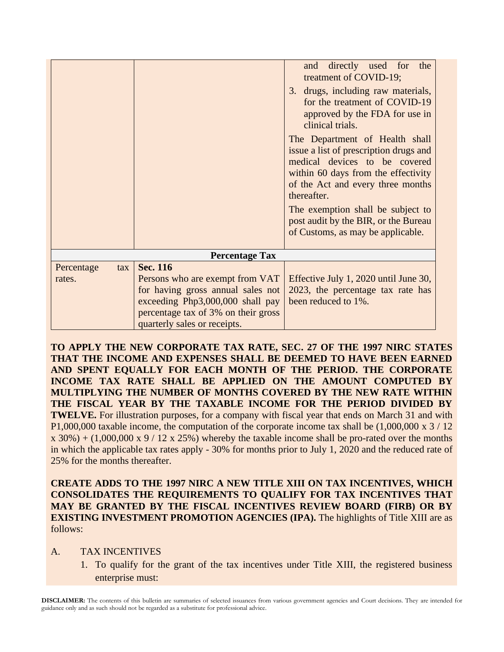|                             |                                                                                                                                                                                             | directly used for<br>the<br>and<br>treatment of COVID-19;<br>3. drugs, including raw materials,<br>for the treatment of COVID-19                                                                                                                                                                                       |
|-----------------------------|---------------------------------------------------------------------------------------------------------------------------------------------------------------------------------------------|------------------------------------------------------------------------------------------------------------------------------------------------------------------------------------------------------------------------------------------------------------------------------------------------------------------------|
|                             |                                                                                                                                                                                             | approved by the FDA for use in<br>clinical trials.                                                                                                                                                                                                                                                                     |
|                             |                                                                                                                                                                                             | The Department of Health shall<br>issue a list of prescription drugs and<br>medical devices to be covered<br>within 60 days from the effectivity<br>of the Act and every three months<br>thereafter.<br>The exemption shall be subject to<br>post audit by the BIR, or the Bureau<br>of Customs, as may be applicable. |
|                             | <b>Percentage Tax</b>                                                                                                                                                                       |                                                                                                                                                                                                                                                                                                                        |
| Percentage<br>tax<br>rates. | Sec. 116<br>Persons who are exempt from VAT<br>for having gross annual sales not<br>exceeding Php3,000,000 shall pay<br>percentage tax of 3% on their gross<br>quarterly sales or receipts. | Effective July 1, 2020 until June 30,<br>2023, the percentage tax rate has<br>been reduced to 1%.                                                                                                                                                                                                                      |

**TO APPLY THE NEW CORPORATE TAX RATE, SEC. 27 OF THE 1997 NIRC STATES THAT THE INCOME AND EXPENSES SHALL BE DEEMED TO HAVE BEEN EARNED AND SPENT EQUALLY FOR EACH MONTH OF THE PERIOD. THE CORPORATE INCOME TAX RATE SHALL BE APPLIED ON THE AMOUNT COMPUTED BY MULTIPLYING THE NUMBER OF MONTHS COVERED BY THE NEW RATE WITHIN THE FISCAL YEAR BY THE TAXABLE INCOME FOR THE PERIOD DIVIDED BY TWELVE.** For illustration purposes, for a company with fiscal year that ends on March 31 and with P1,000,000 taxable income, the computation of the corporate income tax shall be  $(1,000,000 \times 3 / 12)$  $x 30\% + (1,000,000 x 9 / 12 x 25\%)$  whereby the taxable income shall be pro-rated over the months in which the applicable tax rates apply - 30% for months prior to July 1, 2020 and the reduced rate of 25% for the months thereafter.

**CREATE ADDS TO THE 1997 NIRC A NEW TITLE XIII ON TAX INCENTIVES, WHICH CONSOLIDATES THE REQUIREMENTS TO QUALIFY FOR TAX INCENTIVES THAT MAY BE GRANTED BY THE FISCAL INCENTIVES REVIEW BOARD (FIRB) OR BY EXISTING INVESTMENT PROMOTION AGENCIES (IPA).** The highlights of Title XIII are as follows:

#### A. TAX INCENTIVES

1. To qualify for the grant of the tax incentives under Title XIII, the registered business enterprise must: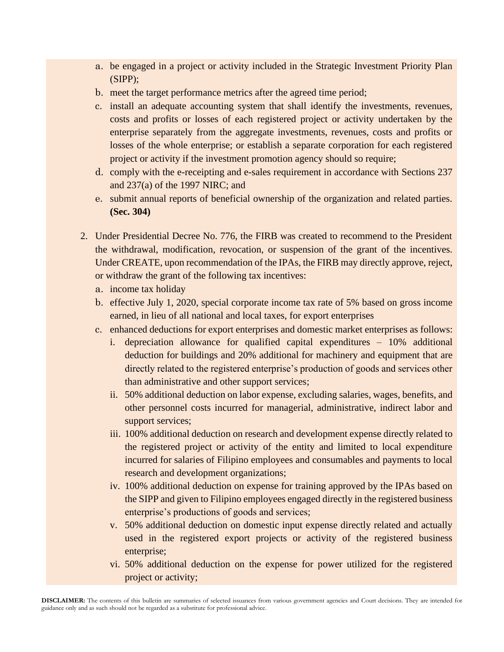- a. be engaged in a project or activity included in the Strategic Investment Priority Plan (SIPP);
- b. meet the target performance metrics after the agreed time period;
- c. install an adequate accounting system that shall identify the investments, revenues, costs and profits or losses of each registered project or activity undertaken by the enterprise separately from the aggregate investments, revenues, costs and profits or losses of the whole enterprise; or establish a separate corporation for each registered project or activity if the investment promotion agency should so require;
- d. comply with the e-receipting and e-sales requirement in accordance with Sections 237 and 237(a) of the 1997 NIRC; and
- e. submit annual reports of beneficial ownership of the organization and related parties. **(Sec. 304)**
- 2. Under Presidential Decree No. 776, the FIRB was created to recommend to the President the withdrawal, modification, revocation, or suspension of the grant of the incentives. Under CREATE, upon recommendation of the IPAs, the FIRB may directly approve, reject, or withdraw the grant of the following tax incentives:
	- a. income tax holiday
	- b. effective July 1, 2020, special corporate income tax rate of 5% based on gross income earned, in lieu of all national and local taxes, for export enterprises
	- c. enhanced deductions for export enterprises and domestic market enterprises as follows:
		- i. depreciation allowance for qualified capital expenditures 10% additional deduction for buildings and 20% additional for machinery and equipment that are directly related to the registered enterprise's production of goods and services other than administrative and other support services;
		- ii. 50% additional deduction on labor expense, excluding salaries, wages, benefits, and other personnel costs incurred for managerial, administrative, indirect labor and support services;
		- iii. 100% additional deduction on research and development expense directly related to the registered project or activity of the entity and limited to local expenditure incurred for salaries of Filipino employees and consumables and payments to local research and development organizations;
		- iv. 100% additional deduction on expense for training approved by the IPAs based on the SIPP and given to Filipino employees engaged directly in the registered business enterprise's productions of goods and services;
		- v. 50% additional deduction on domestic input expense directly related and actually used in the registered export projects or activity of the registered business enterprise;
		- vi. 50% additional deduction on the expense for power utilized for the registered project or activity;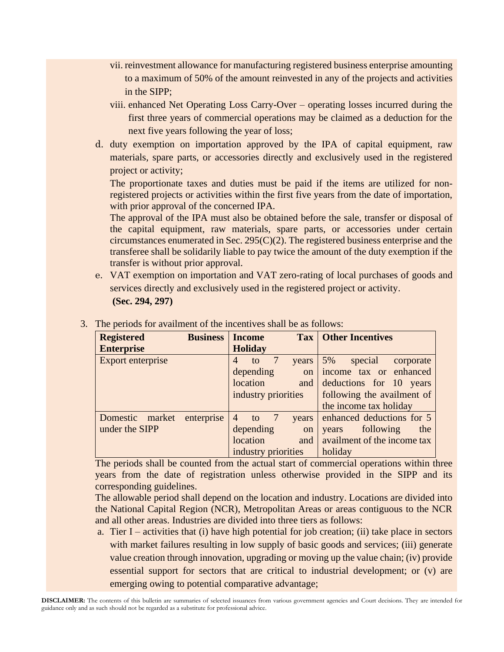- vii. reinvestment allowance for manufacturing registered business enterprise amounting to a maximum of 50% of the amount reinvested in any of the projects and activities in the SIPP;
- viii. enhanced Net Operating Loss Carry-Over operating losses incurred during the first three years of commercial operations may be claimed as a deduction for the next five years following the year of loss;
- d. duty exemption on importation approved by the IPA of capital equipment, raw materials, spare parts, or accessories directly and exclusively used in the registered project or activity;

The proportionate taxes and duties must be paid if the items are utilized for nonregistered projects or activities within the first five years from the date of importation, with prior approval of the concerned IPA.

The approval of the IPA must also be obtained before the sale, transfer or disposal of the capital equipment, raw materials, spare parts, or accessories under certain circumstances enumerated in Sec. 295(C)(2). The registered business enterprise and the transferee shall be solidarily liable to pay twice the amount of the duty exemption if the transfer is without prior approval.

e. VAT exemption on importation and VAT zero-rating of local purchases of goods and services directly and exclusively used in the registered project or activity. **(Sec. 294, 297)**

| <b>Registered</b> | <b>Business</b> | <b>Income</b>                 | <b>Tax   Other Incentives</b> |
|-------------------|-----------------|-------------------------------|-------------------------------|
| <b>Enterprise</b> |                 | <b>Holiday</b>                |                               |
| Export enterprise |                 | 4<br>to<br>years              | 5%<br>special<br>corporate    |
|                   |                 | depending<br><sub>on</sub>    | income tax or enhanced        |
|                   |                 | location<br>and               | deductions for 10 years       |
|                   |                 | industry priorities           | following the availment of    |
|                   |                 |                               | the income tax holiday        |
| Domestic market   | enterprise      | $\overline{4}$<br>to<br>years | enhanced deductions for 5     |
| under the SIPP    |                 | depending<br>on               | following<br>the<br>years     |
|                   |                 | location<br>and               | availment of the income tax   |
|                   |                 | industry priorities           | holiday                       |

3. The periods for availment of the incentives shall be as follows:

The periods shall be counted from the actual start of commercial operations within three years from the date of registration unless otherwise provided in the SIPP and its corresponding guidelines.

The allowable period shall depend on the location and industry. Locations are divided into the National Capital Region (NCR), Metropolitan Areas or areas contiguous to the NCR and all other areas. Industries are divided into three tiers as follows:

a. Tier I – activities that (i) have high potential for job creation; (ii) take place in sectors with market failures resulting in low supply of basic goods and services; (iii) generate value creation through innovation, upgrading or moving up the value chain; (iv) provide essential support for sectors that are critical to industrial development; or (v) are emerging owing to potential comparative advantage;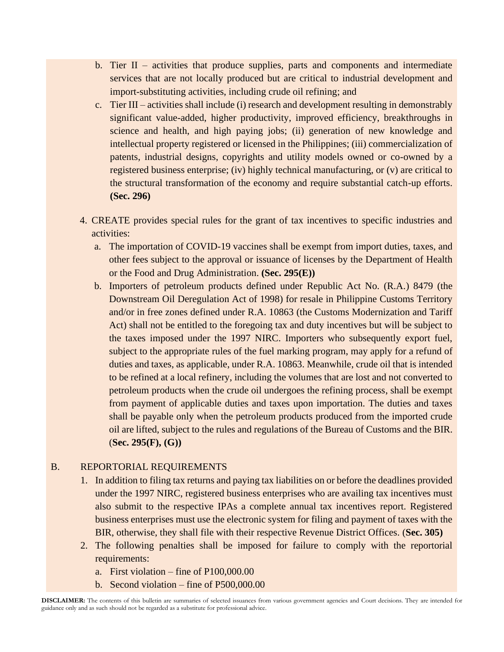- b. Tier  $II$  activities that produce supplies, parts and components and intermediate services that are not locally produced but are critical to industrial development and import-substituting activities, including crude oil refining; and
- c. Tier III activities shall include (i) research and development resulting in demonstrably significant value-added, higher productivity, improved efficiency, breakthroughs in science and health, and high paying jobs; (ii) generation of new knowledge and intellectual property registered or licensed in the Philippines; (iii) commercialization of patents, industrial designs, copyrights and utility models owned or co-owned by a registered business enterprise; (iv) highly technical manufacturing, or (v) are critical to the structural transformation of the economy and require substantial catch-up efforts. **(Sec. 296)**
- 4. CREATE provides special rules for the grant of tax incentives to specific industries and activities:
	- a. The importation of COVID-19 vaccines shall be exempt from import duties, taxes, and other fees subject to the approval or issuance of licenses by the Department of Health or the Food and Drug Administration. **(Sec. 295(E))**
	- b. Importers of petroleum products defined under Republic Act No. (R.A.) 8479 (the Downstream Oil Deregulation Act of 1998) for resale in Philippine Customs Territory and/or in free zones defined under R.A. 10863 (the Customs Modernization and Tariff Act) shall not be entitled to the foregoing tax and duty incentives but will be subject to the taxes imposed under the 1997 NIRC. Importers who subsequently export fuel, subject to the appropriate rules of the fuel marking program, may apply for a refund of duties and taxes, as applicable, under R.A. 10863. Meanwhile, crude oil that is intended to be refined at a local refinery, including the volumes that are lost and not converted to petroleum products when the crude oil undergoes the refining process, shall be exempt from payment of applicable duties and taxes upon importation. The duties and taxes shall be payable only when the petroleum products produced from the imported crude oil are lifted, subject to the rules and regulations of the Bureau of Customs and the BIR. (**Sec. 295(F), (G))**

### B. REPORTORIAL REQUIREMENTS

- 1. In addition to filing tax returns and paying tax liabilities on or before the deadlines provided under the 1997 NIRC, registered business enterprises who are availing tax incentives must also submit to the respective IPAs a complete annual tax incentives report. Registered business enterprises must use the electronic system for filing and payment of taxes with the BIR, otherwise, they shall file with their respective Revenue District Offices. (**Sec. 305)**
- 2. The following penalties shall be imposed for failure to comply with the reportorial requirements:
	- a. First violation fine of P100,000.00
	- b. Second violation fine of P500,000.00